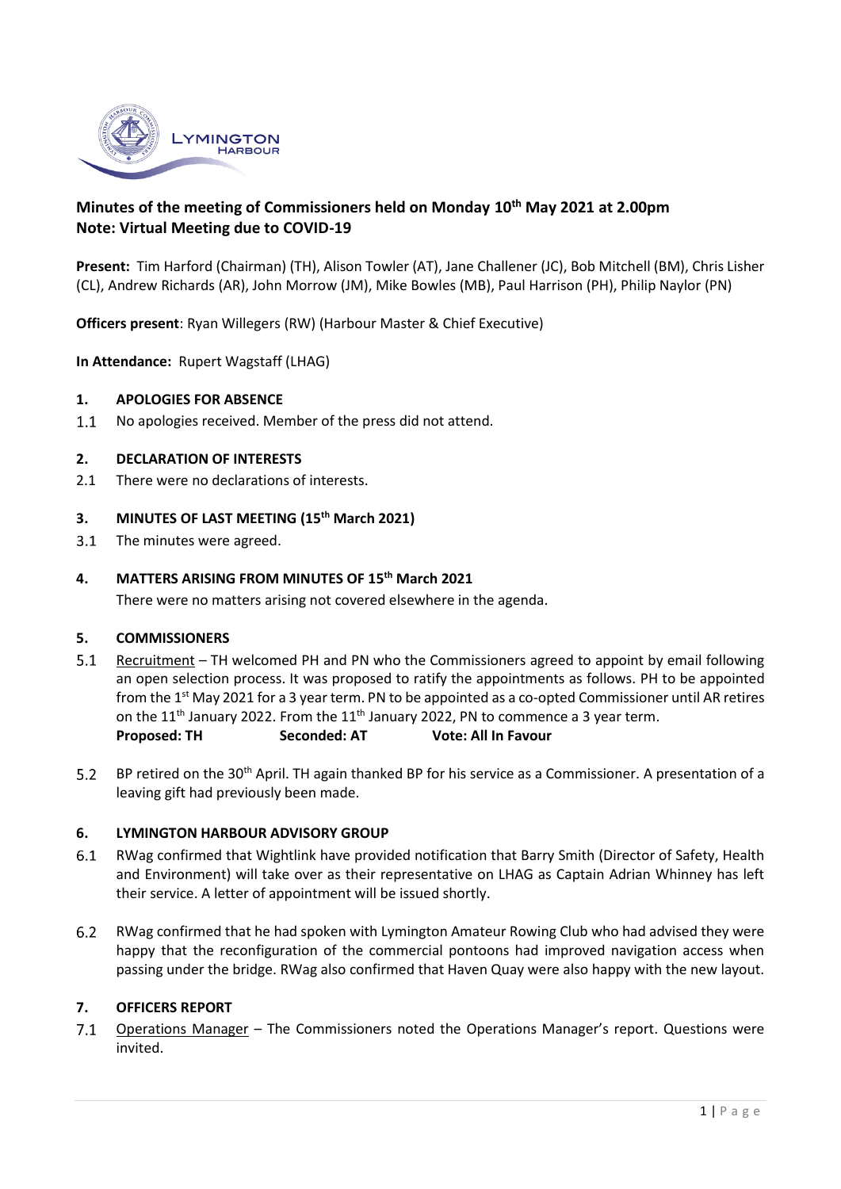

# **Minutes of the meeting of Commissioners held on Monday 10 th May 2021 at 2.00pm Note: Virtual Meeting due to COVID-19**

**Present:** Tim Harford (Chairman) (TH), Alison Towler (AT), Jane Challener (JC), Bob Mitchell (BM), Chris Lisher (CL), Andrew Richards (AR), John Morrow (JM), Mike Bowles (MB), Paul Harrison (PH), Philip Naylor (PN)

**Officers present**: Ryan Willegers (RW) (Harbour Master & Chief Executive)

**In Attendance:** Rupert Wagstaff (LHAG)

#### **1. APOLOGIES FOR ABSENCE**

No apologies received. Member of the press did not attend.  $1.1$ 

#### **2. DECLARATION OF INTERESTS**

2.1 There were no declarations of interests.

## **3. MINUTES OF LAST MEETING (15th March 2021)**

The minutes were agreed.  $3.1$ 

### **4. MATTERS ARISING FROM MINUTES OF 15 th March 2021**

There were no matters arising not covered elsewhere in the agenda.

#### **5. COMMISSIONERS**

- $5.1$ Recruitment – TH welcomed PH and PN who the Commissioners agreed to appoint by email following an open selection process. It was proposed to ratify the appointments as follows. PH to be appointed from the 1<sup>st</sup> May 2021 for a 3 year term. PN to be appointed as a co-opted Commissioner until AR retires on the 11<sup>th</sup> January 2022. From the 11<sup>th</sup> January 2022, PN to commence a 3 year term. **Proposed: TH Seconded: AT Vote: All In Favour**
- $5.2$ BP retired on the 30<sup>th</sup> April. TH again thanked BP for his service as a Commissioner. A presentation of a leaving gift had previously been made.

### **6. LYMINGTON HARBOUR ADVISORY GROUP**

- $6.1$ RWag confirmed that Wightlink have provided notification that Barry Smith (Director of Safety, Health and Environment) will take over as their representative on LHAG as Captain Adrian Whinney has left their service. A letter of appointment will be issued shortly.
- $6.2$ RWag confirmed that he had spoken with Lymington Amateur Rowing Club who had advised they were happy that the reconfiguration of the commercial pontoons had improved navigation access when passing under the bridge. RWag also confirmed that Haven Quay were also happy with the new layout.

#### **7. OFFICERS REPORT**

7.1 Operations Manager - The Commissioners noted the Operations Manager's report. Questions were invited.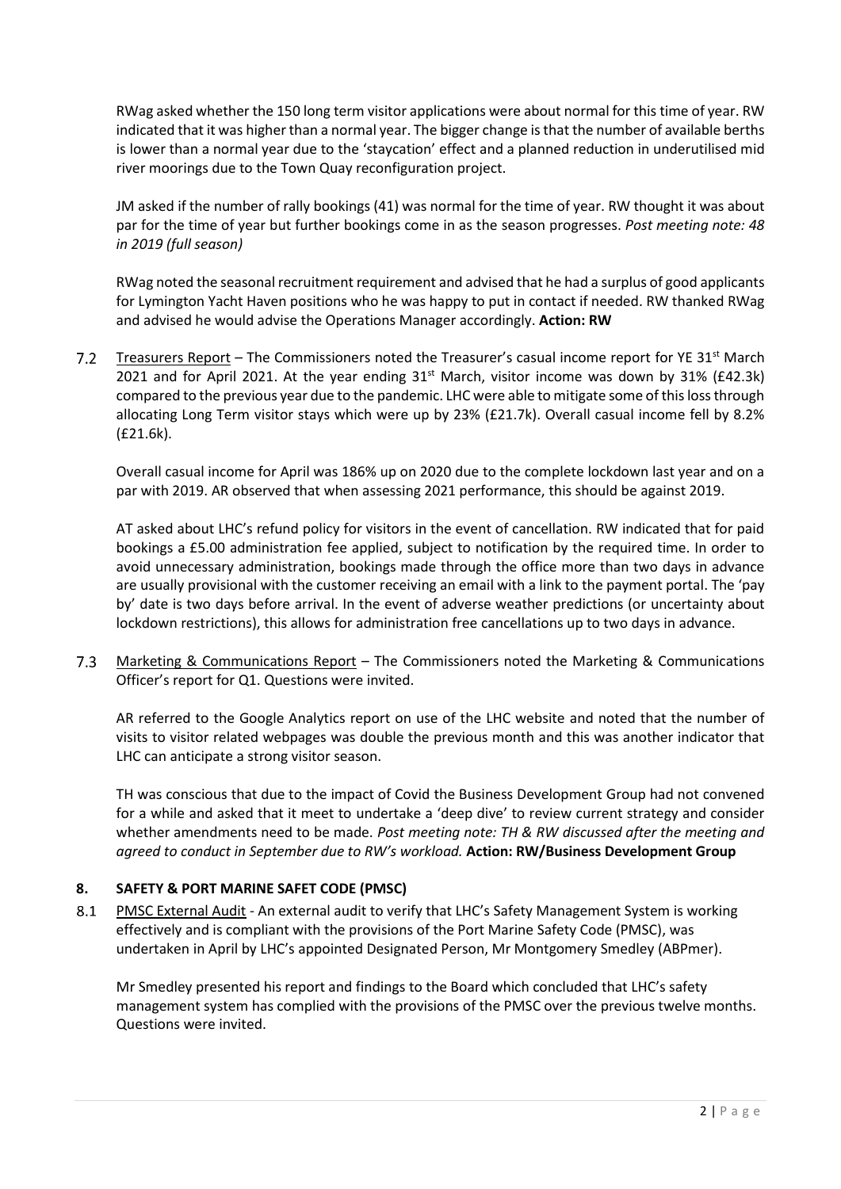RWag asked whether the 150 long term visitor applications were about normal for this time of year. RW indicated that it was higher than a normal year. The bigger change is that the number of available berths is lower than a normal year due to the 'staycation' effect and a planned reduction in underutilised mid river moorings due to the Town Quay reconfiguration project.

JM asked if the number of rally bookings (41) was normal for the time of year. RW thought it was about par for the time of year but further bookings come in as the season progresses. *Post meeting note: 48 in 2019 (full season)*

RWag noted the seasonal recruitment requirement and advised that he had a surplus of good applicants for Lymington Yacht Haven positions who he was happy to put in contact if needed. RW thanked RWag and advised he would advise the Operations Manager accordingly. **Action: RW**

7.2 Treasurers Report – The Commissioners noted the Treasurer's casual income report for YE 31<sup>st</sup> March 2021 and for April 2021. At the year ending 31<sup>st</sup> March, visitor income was down by 31% (£42.3k) compared to the previous year due to the pandemic. LHC were able to mitigate some of this loss through allocating Long Term visitor stays which were up by 23% (£21.7k). Overall casual income fell by 8.2% (£21.6k).

Overall casual income for April was 186% up on 2020 due to the complete lockdown last year and on a par with 2019. AR observed that when assessing 2021 performance, this should be against 2019.

AT asked about LHC's refund policy for visitors in the event of cancellation. RW indicated that for paid bookings a £5.00 administration fee applied, subject to notification by the required time. In order to avoid unnecessary administration, bookings made through the office more than two days in advance are usually provisional with the customer receiving an email with a link to the payment portal. The 'pay by' date is two days before arrival. In the event of adverse weather predictions (or uncertainty about lockdown restrictions), this allows for administration free cancellations up to two days in advance.

 $7.3$ Marketing & Communications Report – The Commissioners noted the Marketing & Communications Officer's report for Q1. Questions were invited.

AR referred to the Google Analytics report on use of the LHC website and noted that the number of visits to visitor related webpages was double the previous month and this was another indicator that LHC can anticipate a strong visitor season.

TH was conscious that due to the impact of Covid the Business Development Group had not convened for a while and asked that it meet to undertake a 'deep dive' to review current strategy and consider whether amendments need to be made. *Post meeting note: TH & RW discussed after the meeting and agreed to conduct in September due to RW's workload.* **Action: RW/Business Development Group**

# **8. SAFETY & PORT MARINE SAFET CODE (PMSC)**

PMSC External Audit - An external audit to verify that LHC's Safety Management System is working 8.1 effectively and is compliant with the provisions of the Port Marine Safety Code (PMSC), was undertaken in April by LHC's appointed Designated Person, Mr Montgomery Smedley (ABPmer).

Mr Smedley presented his report and findings to the Board which concluded that LHC's safety management system has complied with the provisions of the PMSC over the previous twelve months. Questions were invited.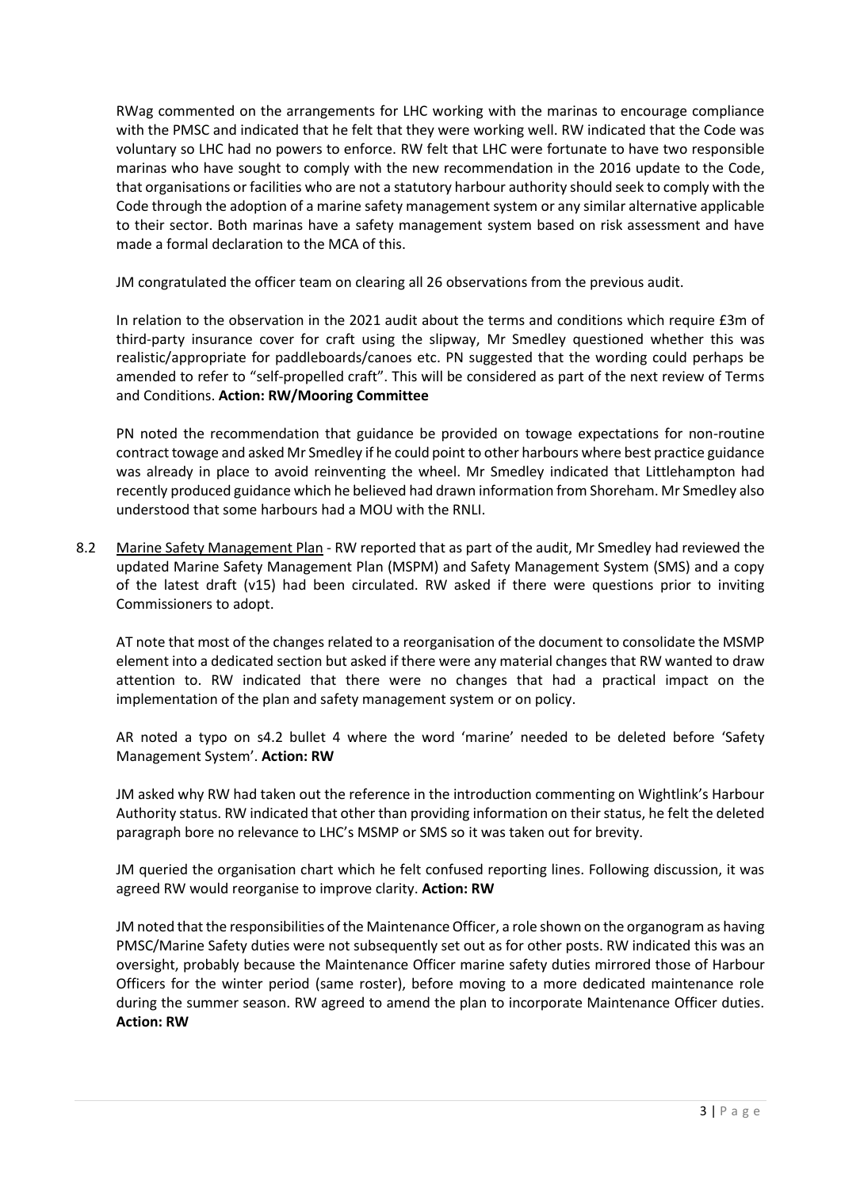RWag commented on the arrangements for LHC working with the marinas to encourage compliance with the PMSC and indicated that he felt that they were working well. RW indicated that the Code was voluntary so LHC had no powers to enforce. RW felt that LHC were fortunate to have two responsible marinas who have sought to comply with the new recommendation in the 2016 update to the Code, that organisations or facilities who are not a statutory harbour authority should seek to comply with the Code through the adoption of a marine safety management system or any similar alternative applicable to their sector. Both marinas have a safety management system based on risk assessment and have made a formal declaration to the MCA of this.

JM congratulated the officer team on clearing all 26 observations from the previous audit.

In relation to the observation in the 2021 audit about the terms and conditions which require £3m of third-party insurance cover for craft using the slipway, Mr Smedley questioned whether this was realistic/appropriate for paddleboards/canoes etc. PN suggested that the wording could perhaps be amended to refer to "self-propelled craft". This will be considered as part of the next review of Terms and Conditions. **Action: RW/Mooring Committee**

PN noted the recommendation that guidance be provided on towage expectations for non-routine contract towage and asked Mr Smedley if he could point to other harbours where best practice guidance was already in place to avoid reinventing the wheel. Mr Smedley indicated that Littlehampton had recently produced guidance which he believed had drawn information from Shoreham. Mr Smedley also understood that some harbours had a MOU with the RNLI.

8.2 Marine Safety Management Plan - RW reported that as part of the audit, Mr Smedley had reviewed the updated Marine Safety Management Plan (MSPM) and Safety Management System (SMS) and a copy of the latest draft (v15) had been circulated. RW asked if there were questions prior to inviting Commissioners to adopt.

AT note that most of the changes related to a reorganisation of the document to consolidate the MSMP element into a dedicated section but asked if there were any material changes that RW wanted to draw attention to. RW indicated that there were no changes that had a practical impact on the implementation of the plan and safety management system or on policy.

AR noted a typo on s4.2 bullet 4 where the word 'marine' needed to be deleted before 'Safety Management System'. **Action: RW**

JM asked why RW had taken out the reference in the introduction commenting on Wightlink's Harbour Authority status. RW indicated that other than providing information on their status, he felt the deleted paragraph bore no relevance to LHC's MSMP or SMS so it was taken out for brevity.

JM queried the organisation chart which he felt confused reporting lines. Following discussion, it was agreed RW would reorganise to improve clarity. **Action: RW**

JM noted that the responsibilities of the Maintenance Officer, a role shown on the organogram as having PMSC/Marine Safety duties were not subsequently set out as for other posts. RW indicated this was an oversight, probably because the Maintenance Officer marine safety duties mirrored those of Harbour Officers for the winter period (same roster), before moving to a more dedicated maintenance role during the summer season. RW agreed to amend the plan to incorporate Maintenance Officer duties. **Action: RW**